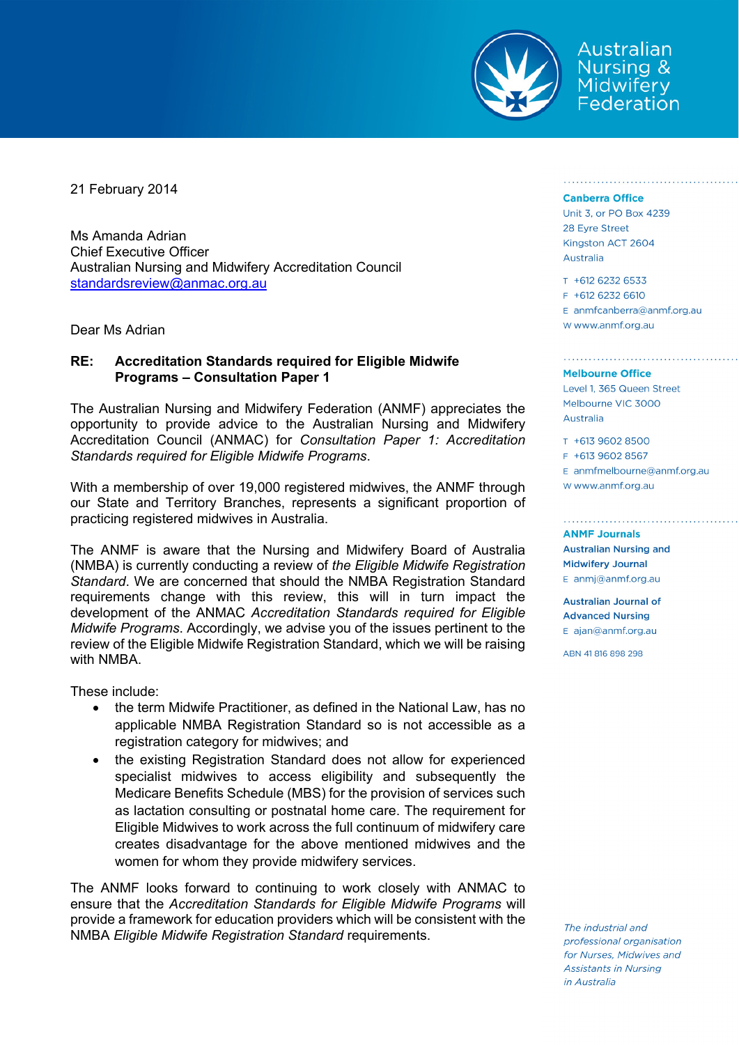

Australian Nursing & Midwifery Federation

21 February 2014

Ms Amanda Adrian Chief Executive Officer Australian Nursing and Midwifery Accreditation Council standardsreview@anmac.org.au

Dear Ms Adrian

# **RE: Accreditation Standards required for Eligible Midwife Programs – Consultation Paper 1**

The Australian Nursing and Midwifery Federation (ANMF) appreciates the opportunity to provide advice to the Australian Nursing and Midwifery Accreditation Council (ANMAC) for *Consultation Paper 1: Accreditation Standards required for Eligible Midwife Programs*.

With a membership of over 19,000 registered midwives, the ANMF through our State and Territory Branches, represents a significant proportion of practicing registered midwives in Australia.

The ANMF is aware that the Nursing and Midwifery Board of Australia (NMBA) is currently conducting a review of *the Eligible Midwife Registration Standard*. We are concerned that should the NMBA Registration Standard requirements change with this review, this will in turn impact the development of the ANMAC *Accreditation Standards required for Eligible Midwife Programs*. Accordingly, we advise you of the issues pertinent to the review of the Eligible Midwife Registration Standard, which we will be raising with NMBA.

These include:

- the term Midwife Practitioner, as defined in the National Law, has no applicable NMBA Registration Standard so is not accessible as a registration category for midwives; and
- the existing Registration Standard does not allow for experienced specialist midwives to access eligibility and subsequently the Medicare Benefits Schedule (MBS) for the provision of services such as lactation consulting or postnatal home care. The requirement for Eligible Midwives to work across the full continuum of midwifery care creates disadvantage for the above mentioned midwives and the women for whom they provide midwifery services.

The ANMF looks forward to continuing to work closely with ANMAC to ensure that the *Accreditation Standards for Eligible Midwife Programs* will provide a framework for education providers which will be consistent with the NMBA *Eligible Midwife Registration Standard* requirements.

### **Canberra Office**

Unit 3, or PO Box 4239 28 Evre Street Kingston ACT 2604 Australia

## $T + 61262326533$ F +612 6232 6610 E anmfcanberra@anmf.org.au W www.anmf.org.au

### **Melbourne Office**

Level 1, 365 Queen Street Melbourne VIC 3000 Australia

T +613 9602 8500 F +613 9602 8567

E anmfmelbourne@anmf.org.au W www.anmf.org.au

#### **ANMF Journals**

**Australian Nursing and Midwifery Journal** E anmj@anmf.org.au

**Australian Journal of Advanced Nursing** E ajan@anmf.org.au

ABN 41816898298

The industrial and professional organisation for Nurses, Midwives and **Assistants in Nursing** in Australia